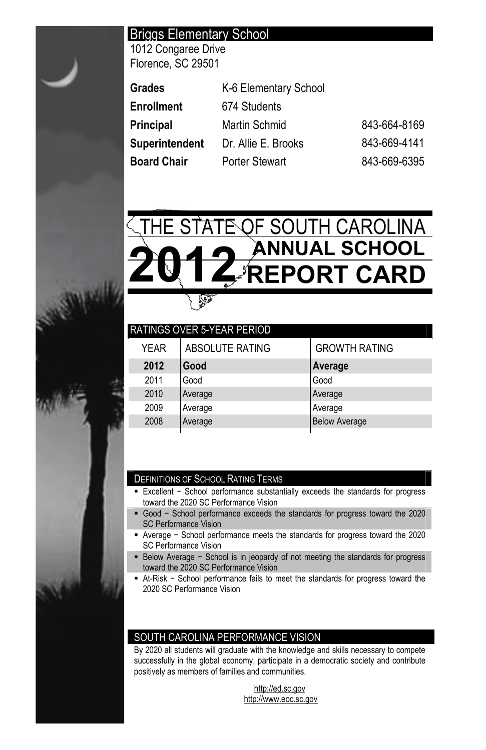# Briggs Elementary School

1012 Congaree Drive Florence, SC 29501

| Grades         | K-6 Elementary School |              |
|----------------|-----------------------|--------------|
| Enrollment     | 674 Students          |              |
| Principal      | Martin Schmid         | 843-664-8169 |
| Superintendent | Dr. Allie E. Brooks   | 843-669-4141 |
| Board Chair    | <b>Porter Stewart</b> | 843-669-6395 |



| <b>GROWTH RATING</b> |
|----------------------|
| Average              |
| Good                 |
| Average              |
| Average              |
| <b>Below Average</b> |
|                      |

## DEFINITIONS OF SCHOOL RATING TERMS

- Excellent School performance substantially exceeds the standards for progress toward the 2020 SC Performance Vision
- Good School performance exceeds the standards for progress toward the 2020 SC Performance Vision
- Average School performance meets the standards for progress toward the 2020 SC Performance Vision
- Below Average School is in jeopardy of not meeting the standards for progress toward the 2020 SC Performance Vision
- At-Risk School performance fails to meet the standards for progress toward the 2020 SC Performance Vision

## SOUTH CAROLINA PERFORMANCE VISION

By 2020 all students will graduate with the knowledge and skills necessary to compete successfully in the global economy, participate in a democratic society and contribute positively as members of families and communities.

> http://ed.sc.gov http://www.eoc.sc.gov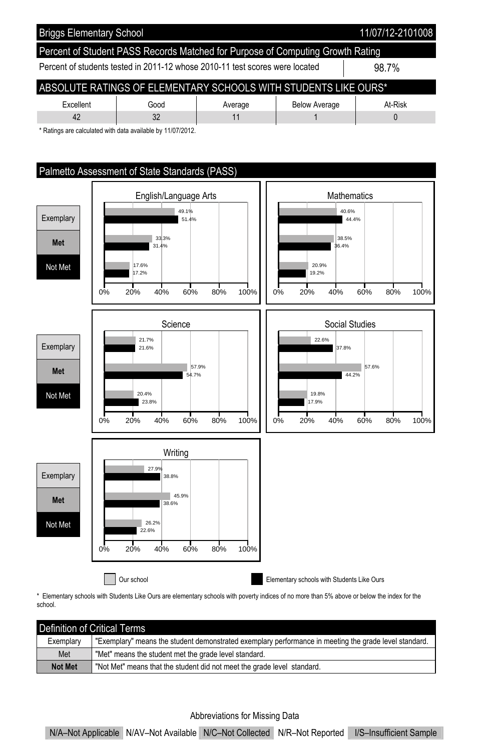

\* Ratings are calculated with data available by 11/07/2012.



\* Elementary schools with Students Like Ours are elementary schools with poverty indices of no more than 5% above or below the index for the school.

| l Definition of Critical Terms |                                                                                                       |  |  |  |  |  |
|--------------------------------|-------------------------------------------------------------------------------------------------------|--|--|--|--|--|
| Exemplary                      | "Exemplary" means the student demonstrated exemplary performance in meeting the grade level standard. |  |  |  |  |  |
| Met                            | "Met" means the student met the grade level standard.                                                 |  |  |  |  |  |
| <b>Not Met</b>                 | "Not Met" means that the student did not meet the grade level standard.                               |  |  |  |  |  |

#### Abbreviations for Missing Data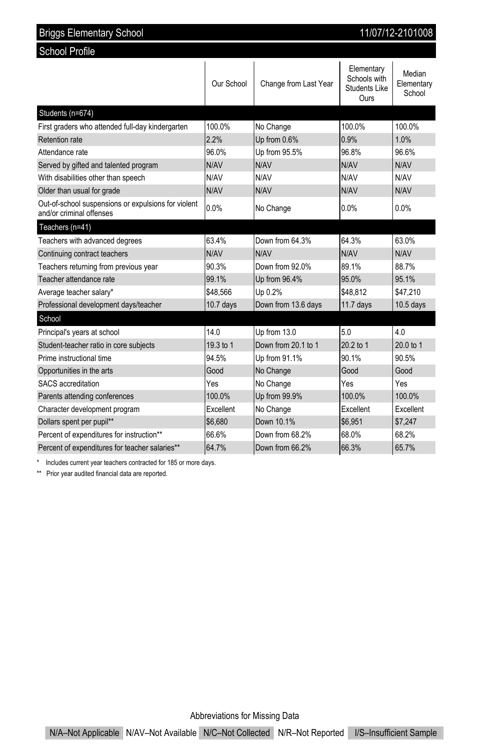| 11/07/12-2101008<br><b>Briggs Elementary School</b>                             |            |                       |                                                            |                                |  |  |  |
|---------------------------------------------------------------------------------|------------|-----------------------|------------------------------------------------------------|--------------------------------|--|--|--|
| <b>School Profile</b>                                                           |            |                       |                                                            |                                |  |  |  |
|                                                                                 | Our School | Change from Last Year | Elementary<br>Schools with<br><b>Students Like</b><br>Ours | Median<br>Elementary<br>School |  |  |  |
| Students (n=674)                                                                |            |                       |                                                            |                                |  |  |  |
| First graders who attended full-day kindergarten                                | 100.0%     | No Change             | 100.0%                                                     | 100.0%                         |  |  |  |
| Retention rate                                                                  | 2.2%       | Up from 0.6%          | 0.9%                                                       | 1.0%                           |  |  |  |
| Attendance rate                                                                 | 96.0%      | Up from 95.5%         | 96.8%                                                      | 96.6%                          |  |  |  |
| Served by gifted and talented program                                           | N/AV       | N/AV                  | N/AV                                                       | N/AV                           |  |  |  |
| With disabilities other than speech                                             | N/AV       | N/AV                  | N/AV                                                       | N/AV                           |  |  |  |
| Older than usual for grade                                                      | N/AV       | N/AV                  | N/AV                                                       | N/AV                           |  |  |  |
| Out-of-school suspensions or expulsions for violent<br>and/or criminal offenses | 0.0%       | No Change             | 0.0%                                                       | 0.0%                           |  |  |  |
| Teachers (n=41)                                                                 |            |                       |                                                            |                                |  |  |  |
| Teachers with advanced degrees                                                  | 63.4%      | Down from 64.3%       | 64.3%                                                      | 63.0%                          |  |  |  |
| Continuing contract teachers                                                    | N/AV       | N/AV                  | N/AV                                                       | N/AV                           |  |  |  |
| Teachers returning from previous year                                           | 90.3%      | Down from 92.0%       | 89.1%                                                      | 88.7%                          |  |  |  |
| Teacher attendance rate                                                         | 99.1%      | Up from 96.4%         | 95.0%                                                      | 95.1%                          |  |  |  |
| Average teacher salary*                                                         | \$48,566   | Up 0.2%               | \$48.812                                                   | \$47,210                       |  |  |  |
| Professional development days/teacher                                           | 10.7 days  | Down from 13.6 days   | $11.7$ days                                                | $10.5$ days                    |  |  |  |
| School                                                                          |            |                       |                                                            |                                |  |  |  |
| Principal's years at school                                                     | 140        | Up from 13.0          | 50                                                         | 40                             |  |  |  |
| Student-teacher ratio in core subjects                                          | 19.3 to 1  | Down from 20.1 to 1   | 20.2 to 1                                                  | 20.0 to 1                      |  |  |  |
| Prime instructional time                                                        | 94.5%      | Up from 91.1%         | 90.1%                                                      | 90.5%                          |  |  |  |
| Opportunities in the arts                                                       | Good       | No Change             | Good                                                       | Good                           |  |  |  |
| SACS accreditation                                                              | Yes        | No Change             | Yes                                                        | Yes                            |  |  |  |
| Parents attending conferences                                                   | 100.0%     | Up from 99.9%         | 100.0%                                                     | 100.0%                         |  |  |  |
| Character development program                                                   | Excellent  | No Change             | Excellent                                                  | Excellent                      |  |  |  |
| Dollars spent per pupil**                                                       | \$6.680    | Down 10.1%            | \$6,951                                                    | \$7.247                        |  |  |  |
| Percent of expenditures for instruction**                                       | 66.6%      | Down from 68.2%       | 68.0%                                                      | 68.2%                          |  |  |  |
| Percent of expenditures for teacher salaries**                                  | 64.7%      | Down from 66.2%       | 66.3%                                                      | 65.7%                          |  |  |  |

\* Includes current year teachers contracted for 185 or more days.

\*\* Prior year audited financial data are reported.

Abbreviations for Missing Data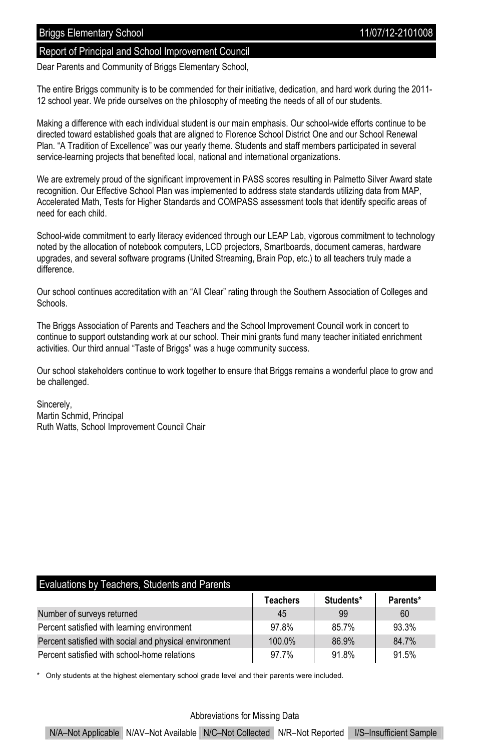## Report of Principal and School Improvement Council

Dear Parents and Community of Briggs Elementary School,

The entire Briggs community is to be commended for their initiative, dedication, and hard work during the 2011- 12 school year. We pride ourselves on the philosophy of meeting the needs of all of our students.

Making a difference with each individual student is our main emphasis. Our school-wide efforts continue to be directed toward established goals that are aligned to Florence School District One and our School Renewal Plan. "A Tradition of Excellence" was our yearly theme. Students and staff members participated in several service-learning projects that benefited local, national and international organizations.

We are extremely proud of the significant improvement in PASS scores resulting in Palmetto Silver Award state recognition. Our Effective School Plan was implemented to address state standards utilizing data from MAP, Accelerated Math, Tests for Higher Standards and COMPASS assessment tools that identify specific areas of need for each child.

School-wide commitment to early literacy evidenced through our LEAP Lab, vigorous commitment to technology noted by the allocation of notebook computers, LCD projectors, Smartboards, document cameras, hardware upgrades, and several software programs (United Streaming, Brain Pop, etc.) to all teachers truly made a difference.

Our school continues accreditation with an "All Clear" rating through the Southern Association of Colleges and Schools.

The Briggs Association of Parents and Teachers and the School Improvement Council work in concert to continue to support outstanding work at our school. Their mini grants fund many teacher initiated enrichment activities. Our third annual "Taste of Briggs" was a huge community success.

Our school stakeholders continue to work together to ensure that Briggs remains a wonderful place to grow and be challenged.

Sincerely, Martin Schmid, Principal Ruth Watts, School Improvement Council Chair

## Evaluations by Teachers, Students and Parents

|                                                        | <b>Teachers</b> | Students* | Parents* |
|--------------------------------------------------------|-----------------|-----------|----------|
| Number of surveys returned                             | 45              | 99        | 60       |
| Percent satisfied with learning environment            | 97.8%           | 85.7%     | 93.3%    |
| Percent satisfied with social and physical environment | 100.0%          | 86.9%     | 84.7%    |
| Percent satisfied with school-home relations           | 97.7%           | 91.8%     | 91.5%    |

Only students at the highest elementary school grade level and their parents were included.

#### Abbreviations for Missing Data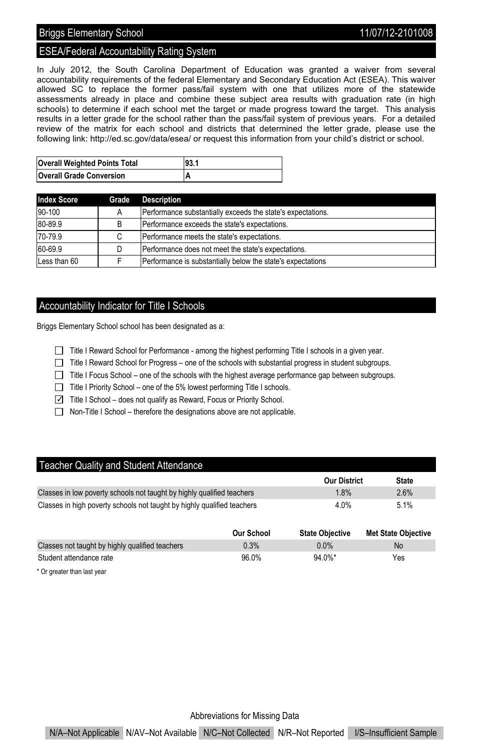## Briggs Elementary School 2008 2009 11/07/12-2101008

## ESEA/Federal Accountability Rating System

In July 2012, the South Carolina Department of Education was granted a waiver from several accountability requirements of the federal Elementary and Secondary Education Act (ESEA). This waiver allowed SC to replace the former pass/fail system with one that utilizes more of the statewide assessments already in place and combine these subject area results with graduation rate (in high schools) to determine if each school met the target or made progress toward the target. This analysis results in a letter grade for the school rather than the pass/fail system of previous years. For a detailed review of the matrix for each school and districts that determined the letter grade, please use the following link: http://ed.sc.gov/data/esea/ or request this information from your child's district or school.

| <b>Overall Weighted Points Total</b> | 93.1 |
|--------------------------------------|------|
| <b>Overall Grade Conversion</b>      |      |

| <b>Index Score</b> | Grade | <b>Description</b>                                          |
|--------------------|-------|-------------------------------------------------------------|
| 90-100             |       | Performance substantially exceeds the state's expectations. |
| 80-89.9            | B     | Performance exceeds the state's expectations.               |
| 70-79.9            | C     | Performance meets the state's expectations.                 |
| 60-69.9            |       | Performance does not meet the state's expectations.         |
| Less than 60       |       | Performance is substantially below the state's expectations |

## Accountability Indicator for Title I Schools

Briggs Elementary School school has been designated as a:

- Title I Reward School for Performance among the highest performing Title I schools in a given year.
- Title I Reward School for Progress one of the schools with substantial progress in student subgroups.
- $\Box$  Title I Focus School one of the schools with the highest average performance gap between subgroups.
- Title I Priority School one of the 5% lowest performing Title I schools.
- ✓ Title I School does not qualify as Reward, Focus or Priority School.
- $\Box$  Non-Title I School therefore the designations above are not applicable.

### Teacher Quality and Student Attendance

|                                                                         | <b>Our District</b> | <b>State</b> |
|-------------------------------------------------------------------------|---------------------|--------------|
| Classes in low poverty schools not taught by highly qualified teachers  | 1.8%                | 2.6%         |
| Classes in high poverty schools not taught by highly qualified teachers | 4.0%                | 5.1%         |

|                                                 | Our School | <b>State Obiective</b> | <b>Met State Objective</b> |
|-------------------------------------------------|------------|------------------------|----------------------------|
| Classes not taught by highly qualified teachers | 0.3%       | $0.0\%$                | No                         |
| Student attendance rate                         | 96.0%      | $94.0\%$ *             | Yes                        |

\* Or greater than last year

Abbreviations for Missing Data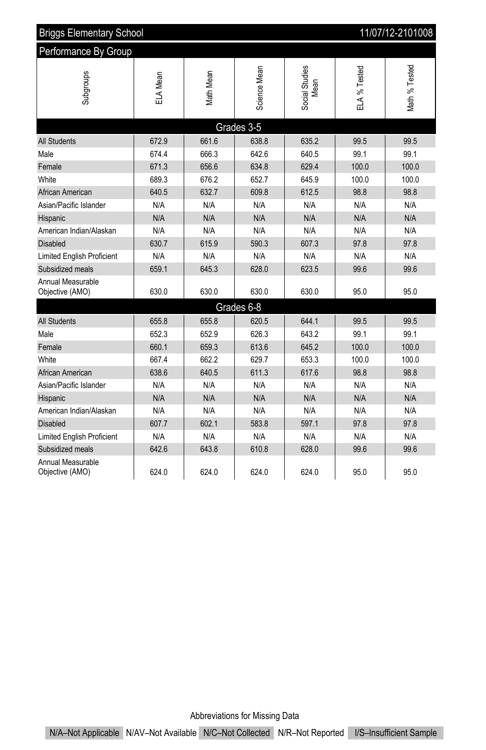| 11/07/12-2101008<br><b>Briggs Elementary School</b> |          |                   |              |                        |              |                |
|-----------------------------------------------------|----------|-------------------|--------------|------------------------|--------------|----------------|
| Performance By Group                                |          |                   |              |                        |              |                |
| Subgroups                                           | ELA Mean | <b>Vlath Mean</b> | Science Mean | Social Studies<br>Mean | ELA % Tested | Vlath % Tested |
|                                                     |          |                   | Grades 3-5   |                        |              |                |
| <b>All Students</b>                                 | 672.9    | 661.6             | 638.8        | 635.2                  | 99.5         | 99.5           |
| Male                                                | 674.4    | 666.3             | 642.6        | 640.5                  | 99.1         | 99.1           |
| Female                                              | 671.3    | 656.6             | 634.8        | 629.4                  | 100.0        | 100.0          |
| White                                               | 689.3    | 676.2             | 652.7        | 645.9                  | 100.0        | 100.0          |
| African American                                    | 640.5    | 632.7             | 609.8        | 612.5                  | 98.8         | 98.8           |
| Asian/Pacific Islander                              | N/A      | N/A               | N/A          | N/A                    | N/A          | N/A            |
| Hispanic                                            | N/A      | N/A               | N/A          | N/A                    | N/A          | N/A            |
| American Indian/Alaskan                             | N/A      | N/A               | N/A          | N/A                    | N/A          | N/A            |
| <b>Disabled</b>                                     | 630.7    | 615.9             | 590.3        | 607.3                  | 97.8         | 97.8           |
| Limited English Proficient                          | N/A      | N/A               | N/A          | N/A                    | N/A          | N/A            |
| Subsidized meals                                    | 659.1    | 645.3             | 628.0        | 623.5                  | 99.6         | 99.6           |
| Annual Measurable<br>Objective (AMO)                | 630.0    | 630.0             | 630.0        | 630.0                  | 95.0         | 95.0           |
|                                                     |          |                   | Grades 6-8   |                        |              |                |
| <b>All Students</b>                                 | 655.8    | 655.8             | 620.5        | 644.1                  | 99.5         | 99.5           |
| Male                                                | 652.3    | 652.9             | 626.3        | 643.2                  | 99.1         | 99.1           |
| Female                                              | 660.1    | 659.3             | 613.6        | 645.2                  | 100.0        | 100.0          |
| White                                               | 667.4    | 662.2             | 629.7        | 653.3                  | 100.0        | 100.0          |
| African American                                    | 638.6    | 640.5             | 611.3        | 617.6                  | 98.8         | 98.8           |
| Asian/Pacific Islander                              | N/A      | N/A               | N/A          | N/A                    | N/A          | N/A            |
| Hispanic                                            | N/A      | N/A               | N/A          | N/A                    | N/A          | N/A            |
| American Indian/Alaskan                             | N/A      | N/A               | N/A          | N/A                    | N/A          | N/A            |
| Disabled                                            | 607.7    | 602.1             | 583.8        | 597.1                  | 97.8         | 97.8           |
| Limited English Proficient                          | N/A      | N/A               | N/A          | N/A                    | N/A          | N/A            |
| Subsidized meals                                    | 642.6    | 643.8             | 610.8        | 628.0                  | 99.6         | 99.6           |
| Annual Measurable<br>Objective (AMO)                | 624.0    | 624.0             | 624.0        | 624.0                  | 95.0         | 95.0           |

Abbreviations for Missing Data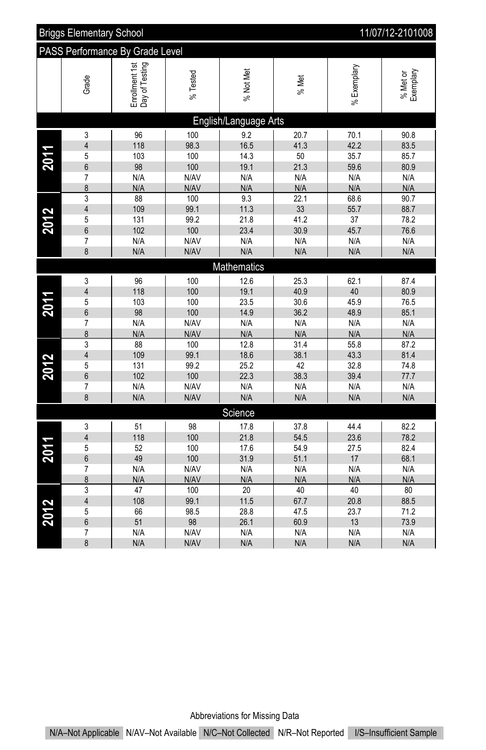|      | 11/07/12-2101008<br><b>Briggs Elementary School</b> |                                  |             |                       |            |              |                       |
|------|-----------------------------------------------------|----------------------------------|-------------|-----------------------|------------|--------------|-----------------------|
|      | PASS Performance By Grade Level                     |                                  |             |                       |            |              |                       |
|      | Grade                                               | Enrollment 1st<br>Day of Testing | % Tested    | % Not Met             | % Met      | %Exemplary   | % Met or<br>Exemplary |
|      |                                                     |                                  |             | English/Language Arts |            |              |                       |
|      | 3                                                   | 96                               | 100         | 9.2                   | 20.7       | 70.1         | 90.8                  |
|      | $\overline{\mathbf{4}}$                             | 118                              | 98.3        | 16.5                  | 41.3       | 42.2         | 83.5                  |
| 2011 | 5                                                   | 103                              | 100         | 14.3                  | 50         | 35.7         | 85.7                  |
|      | 6                                                   | 98                               | 100         | 19.1                  | 21.3       | 59.6         | 80.9                  |
|      | 7                                                   | N/A                              | N/AV        | N/A                   | N/A        | N/A          | N/A                   |
|      | 8                                                   | N/A                              | N/AV        | N/A                   | N/A        | N/A          | N/A                   |
|      | 3                                                   | 88                               | 100         | 9.3                   | 22.1       | 68.6         | 90.7                  |
|      | 4                                                   | 109                              | 99.1        | 11.3                  | 33         | 55.7         | 88.7                  |
| 2012 | 5                                                   | 131                              | 99.2        | 21.8                  | 41.2       | 37           | 78.2                  |
|      | 6                                                   | 102                              | 100         | 23.4                  | 30.9       | 45.7         | 76.6                  |
|      | 7                                                   | N/A                              | N/AV        | N/A                   | N/A        | N/A          | N/A                   |
|      | 8                                                   | N/A                              | N/AV        | N/A                   | N/A        | N/A          | N/A                   |
|      |                                                     |                                  |             | Mathematics           |            |              |                       |
|      | 3                                                   | 96                               | 100         | 12.6                  | 25.3       | 62.1         | 87.4                  |
|      | $\overline{4}$                                      | 118                              | 100         | 19.1                  | 40.9       | 40           | 80.9                  |
| 2011 | 5                                                   | 103                              | 100         | 23.5                  | 30.6       | 45.9         | 76.5                  |
|      | 6                                                   | 98                               | 100         | 14.9                  | 36.2       | 48.9         | 85.1                  |
|      | 7                                                   | N/A                              | N/AV        | N/A                   | N/A        | N/A          | N/A                   |
|      | 8                                                   | N/A                              | N/AV        | N/A                   | N/A        | N/A          | N/A                   |
|      | 3                                                   | 88                               | 100         | 12.8                  | 31.4       | 55.8         | 87.2                  |
|      | $\overline{\mathbf{4}}$                             | 109                              | 99.1        | 18.6                  | 38.1       | 43.3         | 81.4                  |
| 2012 | 5<br>6                                              | 131<br>102                       | 99.2<br>100 | 25.2<br>22.3          | 42<br>38.3 | 32.8<br>39.4 | 74.8<br>77.7          |
|      | $\overline{7}$                                      | N/A                              | N/AV        | N/A                   | N/A        | N/A          | N/A                   |
|      | 8                                                   | N/A                              | N/AV        | N/A                   | N/A        | N/A          | N/A                   |
|      |                                                     |                                  |             | Science               |            |              |                       |
|      |                                                     | 51                               | 98          |                       | 37.8       | 44.4         | 82.2                  |
|      | 3<br>$\overline{4}$                                 | 118                              | 100         | 17.8<br>21.8          | 54.5       | 23.6         | 78.2                  |
|      | 5                                                   | 52                               | 100         | 17.6                  | 54.9       | 27.5         | 82.4                  |
| 2011 | 6                                                   | 49                               | 100         | 31.9                  | 51.1       | 17           | 68.1                  |
|      | $\overline{7}$                                      | N/A                              | N/AV        | N/A                   | N/A        | N/A          | N/A                   |
|      | 8                                                   | N/A                              | N/AV        | N/A                   | N/A        | N/A          | N/A                   |
|      | 3                                                   | 47                               | 100         | $\overline{20}$       | 40         | 40           | 80                    |
|      | 4                                                   | 108                              | 99.1        | 11.5                  | 67.7       | 20.8         | 88.5                  |
| 2012 | 5                                                   | 66                               | 98.5        | 28.8                  | 47.5       | 23.7         | 71.2                  |
|      | 6                                                   | 51                               | 98          | 26.1                  | 60.9       | 13           | 73.9                  |
|      | 7                                                   | N/A                              | N/AV        | N/A                   | N/A        | N/A          | N/A                   |
|      | 8                                                   | N/A                              | N/AV        | N/A                   | N/A        | N/A          | N/A                   |

Abbreviations for Missing Data